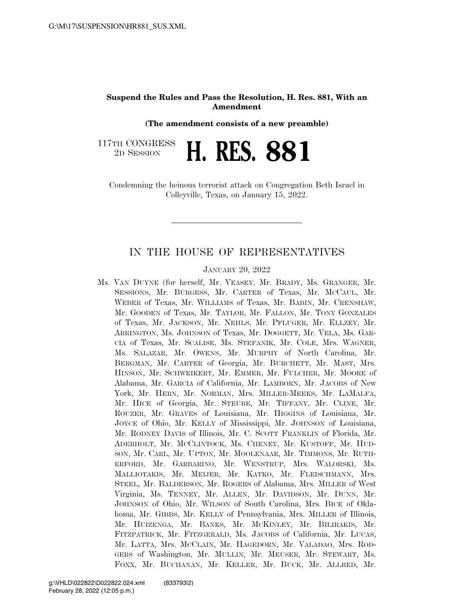## **Suspend the Rules and Pass the Resolution, H. Res. 881, With an Amendment**

**(The amendment consists of a new preamble)** 

117TH CONGRESS <sup>TH CONGRESS</sup> **H. RES. 881** 

Condemning the heinous terrorist attack on Congregation Beth Israel in Colleyville, Texas, on January 15, 2022.

## IN THE HOUSE OF REPRESENTATIVES

JANUARY 20, 2022

Ms. VAN DUYNE (for herself, Mr. VEASEY, Mr. BRADY, Ms. GRANGER, Mr. SESSIONS, Mr. BURGESS, Mr. CARTER of Texas, Mr. MCCAUL, Mr. WEBER of Texas, Mr. WILLIAMS of Texas, Mr. BABIN, Mr. CRENSHAW, Mr. GOODEN of Texas, Mr. TAYLOR, Mr. FALLON, Mr. TONY GONZALES of Texas, Mr. JACKSON, Mr. NEHLS, Mr. PFLUGER, Mr. ELLZEY, Mr. ARRINGTON, Ms. JOHNSON of Texas, Mr. DOGGETT, Mr. VELA, Ms. GAR-CIA of Texas, Mr. SCALISE, Ms. STEFANIK, Mr. COLE, Mrs. WAGNER, Ms. SALAZAR, Mr. OWENS, Mr. MURPHY of North Carolina, Mr. BERGMAN, Mr. CARTER of Georgia, Mr. BURCHETT, Mr. MAST, Mrs. HINSON, Mr. SCHWEIKERT, Mr. EMMER, Mr. FULCHER, Mr. MOORE of Alabama, Mr. GARCIA of California, Mr. LAMBORN, Mr. JACOBS of New York, Mr. HERN, Mr. NORMAN, Mrs. MILLER-MEEKS, Mr. LAMALFA, Mr. HICE of Georgia, Mr. STEUBE, Mr. TIFFANY, Mr. CLINE, Mr. ROUZER, Mr. GRAVES of Louisiana, Mr. HIGGINS of Louisiana, Mr. JOYCE of Ohio, Mr. KELLY of Mississippi, Mr. JOHNSON of Louisiana, Mr. RODNEY DAVIS of Illinois, Mr. C. SCOTT FRANKLIN of Florida, Mr. ADERHOLT, Mr. MCCLINTOCK, Ms. CHENEY, Mr. KUSTOFF, Mr. HUD-SON, Mr. CARL, Mr. UPTON, Mr. MOOLENAAR, Mr. TIMMONS, Mr. RUTH-ERFORD, Mr. GARBARINO, Mr. WENSTRUP, Mrs. WALORSKI, Ms. MALLIOTAKIS, Mr. MEIJER, Mr. KATKO, Mr. FLEISCHMANN, Mrs. STEEL, Mr. BALDERSON, Mr. ROGERS of Alabama, Mrs. MILLER of West Virginia, Ms. TENNEY, Mr. ALLEN, Mr. DAVIDSON, Mr. DUNN, Mr. JOHNSON of Ohio, Mr. WILSON of South Carolina, Mrs. BICE of Oklahoma, Mr. GIBBS, Mr. KELLY of Pennsylvania, Mrs. MILLER of Illinois, Mr. HUIZENGA, Mr. BANKS, Mr. MCKINLEY, Mr. BILIRAKIS, Mr. FITZPATRICK, Mr. FITZGERALD, Ms. JACOBS of California, Mr. LUCAS, Mr. LATTA, Mrs. MCCLAIN, Mr. HAGEDORN, Mr. VALADAO, Mrs. ROD-GERS of Washington, Mr. MULLIN, Mr. MEUSER, Mr. STEWART, Ms. FOXX, Mr. BUCHANAN, Mr. KELLER, Mr. BUCK, Mr. ALLRED, Mr.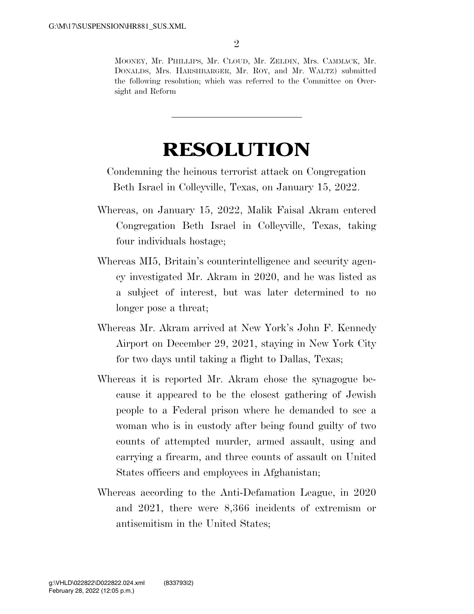MOONEY, Mr. PHILLIPS, Mr. CLOUD, Mr. ZELDIN, Mrs. CAMMACK, Mr. DONALDS, Mrs. HARSHBARGER, Mr. ROY, and Mr. WALTZ) submitted the following resolution; which was referred to the Committee on Oversight and Reform

## **RESOLUTION**

Condemning the heinous terrorist attack on Congregation Beth Israel in Colleyville, Texas, on January 15, 2022.

- Whereas, on January 15, 2022, Malik Faisal Akram entered Congregation Beth Israel in Colleyville, Texas, taking four individuals hostage;
- Whereas MI5, Britain's counterintelligence and security agency investigated Mr. Akram in 2020, and he was listed as a subject of interest, but was later determined to no longer pose a threat;
- Whereas Mr. Akram arrived at New York's John F. Kennedy Airport on December 29, 2021, staying in New York City for two days until taking a flight to Dallas, Texas;
- Whereas it is reported Mr. Akram chose the synagogue because it appeared to be the closest gathering of Jewish people to a Federal prison where he demanded to see a woman who is in custody after being found guilty of two counts of attempted murder, armed assault, using and carrying a firearm, and three counts of assault on United States officers and employees in Afghanistan;
- Whereas according to the Anti-Defamation League, in 2020 and 2021, there were 8,366 incidents of extremism or antisemitism in the United States;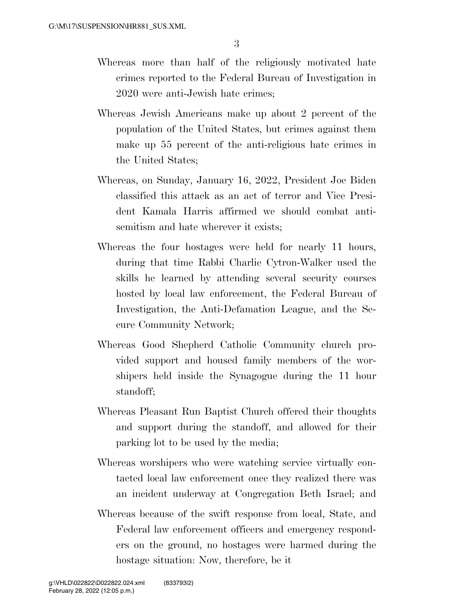- Whereas more than half of the religiously motivated hate crimes reported to the Federal Bureau of Investigation in 2020 were anti-Jewish hate crimes;
- Whereas Jewish Americans make up about 2 percent of the population of the United States, but crimes against them make up 55 percent of the anti-religious hate crimes in the United States;
- Whereas, on Sunday, January 16, 2022, President Joe Biden classified this attack as an act of terror and Vice President Kamala Harris affirmed we should combat antisemitism and hate wherever it exists;
- Whereas the four hostages were held for nearly 11 hours, during that time Rabbi Charlie Cytron-Walker used the skills he learned by attending several security courses hosted by local law enforcement, the Federal Bureau of Investigation, the Anti-Defamation League, and the Secure Community Network;
- Whereas Good Shepherd Catholic Community church provided support and housed family members of the worshipers held inside the Synagogue during the 11 hour standoff;
- Whereas Pleasant Run Baptist Church offered their thoughts and support during the standoff, and allowed for their parking lot to be used by the media;
- Whereas worshipers who were watching service virtually contacted local law enforcement once they realized there was an incident underway at Congregation Beth Israel; and
- Whereas because of the swift response from local, State, and Federal law enforcement officers and emergency responders on the ground, no hostages were harmed during the hostage situation: Now, therefore, be it